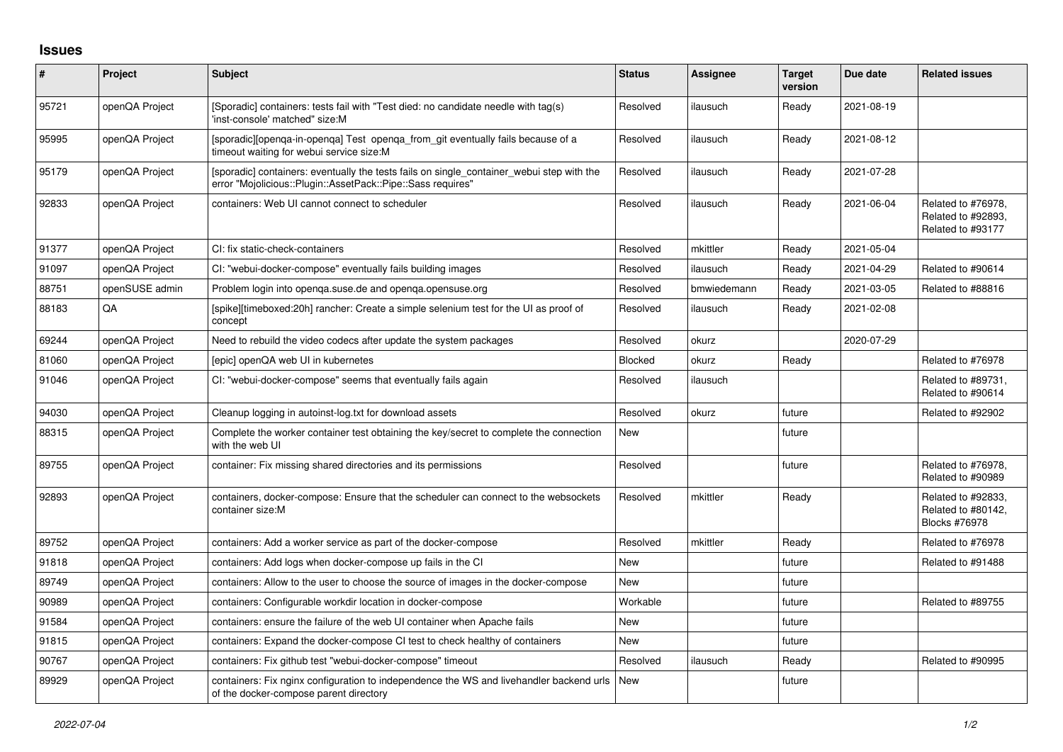## **Issues**

| $\sharp$ | Project        | <b>Subject</b>                                                                                                                                           | <b>Status</b> | <b>Assignee</b> | <b>Target</b><br>version | Due date   | <b>Related issues</b>                                            |
|----------|----------------|----------------------------------------------------------------------------------------------------------------------------------------------------------|---------------|-----------------|--------------------------|------------|------------------------------------------------------------------|
| 95721    | openQA Project | [Sporadic] containers: tests fail with "Test died: no candidate needle with tag(s)<br>'inst-console' matched" size:M                                     | Resolved      | ilausuch        | Ready                    | 2021-08-19 |                                                                  |
| 95995    | openQA Project | [sporadic][openga-in-openga] Test openga from git eventually fails because of a<br>timeout waiting for webui service size:M                              | Resolved      | ilausuch        | Ready                    | 2021-08-12 |                                                                  |
| 95179    | openQA Project | [sporadic] containers: eventually the tests fails on single container webui step with the<br>error "Mojolicious::Plugin::AssetPack::Pipe::Sass requires" | Resolved      | ilausuch        | Ready                    | 2021-07-28 |                                                                  |
| 92833    | openQA Project | containers: Web UI cannot connect to scheduler                                                                                                           | Resolved      | ilausuch        | Ready                    | 2021-06-04 | Related to #76978,<br>Related to #92893,<br>Related to #93177    |
| 91377    | openQA Project | CI: fix static-check-containers                                                                                                                          | Resolved      | mkittler        | Ready                    | 2021-05-04 |                                                                  |
| 91097    | openQA Project | CI: "webui-docker-compose" eventually fails building images                                                                                              | Resolved      | ilausuch        | Ready                    | 2021-04-29 | Related to #90614                                                |
| 88751    | openSUSE admin | Problem login into openga.suse.de and openga.opensuse.org                                                                                                | Resolved      | bmwiedemann     | Ready                    | 2021-03-05 | Related to #88816                                                |
| 88183    | QA             | [spike][timeboxed:20h] rancher: Create a simple selenium test for the UI as proof of<br>concept                                                          | Resolved      | ilausuch        | Ready                    | 2021-02-08 |                                                                  |
| 69244    | openQA Project | Need to rebuild the video codecs after update the system packages                                                                                        | Resolved      | okurz           |                          | 2020-07-29 |                                                                  |
| 81060    | openQA Project | [epic] openQA web UI in kubernetes                                                                                                                       | Blocked       | okurz           | Ready                    |            | Related to #76978                                                |
| 91046    | openQA Project | CI: "webui-docker-compose" seems that eventually fails again                                                                                             | Resolved      | ilausuch        |                          |            | Related to #89731,<br>Related to #90614                          |
| 94030    | openQA Project | Cleanup logging in autoinst-log.txt for download assets                                                                                                  | Resolved      | okurz           | future                   |            | Related to #92902                                                |
| 88315    | openQA Project | Complete the worker container test obtaining the key/secret to complete the connection<br>with the web UI                                                | New           |                 | future                   |            |                                                                  |
| 89755    | openQA Project | container: Fix missing shared directories and its permissions                                                                                            | Resolved      |                 | future                   |            | Related to #76978,<br>Related to #90989                          |
| 92893    | openQA Project | containers, docker-compose: Ensure that the scheduler can connect to the websockets<br>container size:M                                                  | Resolved      | mkittler        | Ready                    |            | Related to #92833,<br>Related to #80142,<br><b>Blocks #76978</b> |
| 89752    | openQA Project | containers: Add a worker service as part of the docker-compose                                                                                           | Resolved      | mkittler        | Ready                    |            | Related to #76978                                                |
| 91818    | openQA Project | containers: Add logs when docker-compose up fails in the CI                                                                                              | <b>New</b>    |                 | future                   |            | Related to #91488                                                |
| 89749    | openQA Project | containers: Allow to the user to choose the source of images in the docker-compose                                                                       | <b>New</b>    |                 | future                   |            |                                                                  |
| 90989    | openQA Project | containers: Configurable workdir location in docker-compose                                                                                              | Workable      |                 | future                   |            | Related to #89755                                                |
| 91584    | openQA Project | containers: ensure the failure of the web UI container when Apache fails                                                                                 | <b>New</b>    |                 | future                   |            |                                                                  |
| 91815    | openQA Project | containers: Expand the docker-compose CI test to check healthy of containers                                                                             | New           |                 | future                   |            |                                                                  |
| 90767    | openQA Project | containers: Fix github test "webui-docker-compose" timeout                                                                                               | Resolved      | ilausuch        | Ready                    |            | Related to #90995                                                |
| 89929    | openQA Project | containers: Fix nginx configuration to independence the WS and livehandler backend urls<br>of the docker-compose parent directory                        | <b>New</b>    |                 | future                   |            |                                                                  |